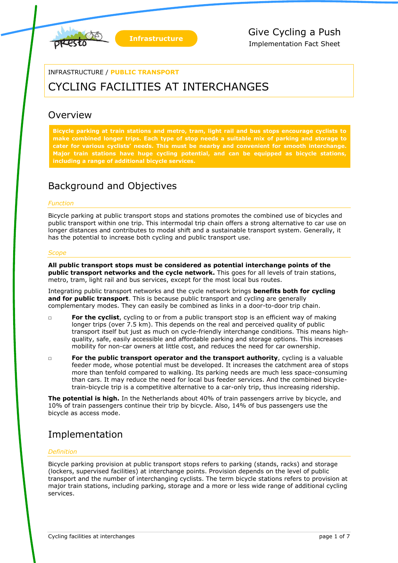

#### INFRASTRUCTURE / **PUBLIC TRANSPORT**

# CYCLING FACILITIES AT INTERCHANGES

### Overview

**Bicycle parking at train stations and metro, tram, light rail and bus stops encourage cyclists to make combined longer trips. Each type of stop needs a suitable mix of parking and storage to cater for various cyclists' needs. This must be nearby and convenient for smooth interchange. Major train stations have huge cycling potential, and can be equipped as bicycle stations, including a range of additional bicycle services.**

### Background and Objectives

#### *Function*

Bicycle parking at public transport stops and stations promotes the combined use of bicycles and public transport within one trip. This intermodal trip chain offers a strong alternative to car use on longer distances and contributes to modal shift and a sustainable transport system. Generally, it has the potential to increase both cycling and public transport use.

#### *Scope*

**All public transport stops must be considered as potential interchange points of the public transport networks and the cycle network.** This goes for all levels of train stations, metro, tram, light rail and bus services, except for the most local bus routes.

Integrating public transport networks and the cycle network brings **benefits both for cycling**  and for public transport. This is because public transport and cycling are generally complementary modes. They can easily be combined as links in a door-to-door trip chain.

- □ **For the cyclist**, cycling to or from a public transport stop is an efficient way of making longer trips (over 7.5 km). This depends on the real and perceived quality of public transport itself but just as much on cycle-friendly interchange conditions. This means highquality, safe, easily accessible and affordable parking and storage options. This increases mobility for non-car owners at little cost, and reduces the need for car ownership.
- □ **For the public transport operator and the transport authority**, cycling is a valuable feeder mode, whose potential must be developed. It increases the catchment area of stops more than tenfold compared to walking. Its parking needs are much less space-consuming than cars. It may reduce the need for local bus feeder services. And the combined bicycletrain-bicycle trip is a competitive alternative to a car-only trip, thus increasing ridership.

**The potential is high.** In the Netherlands about 40% of train passengers arrive by bicycle, and 10% of train passengers continue their trip by bicycle. Also, 14% of bus passengers use the bicycle as access mode.

### Implementation

#### *Definition*

Bicycle parking provision at public transport stops refers to parking (stands, racks) and storage (lockers, supervised facilities) at interchange points. Provision depends on the level of public transport and the number of interchanging cyclists. The term bicycle stations refers to provision at major train stations, including parking, storage and a more or less wide range of additional cycling services.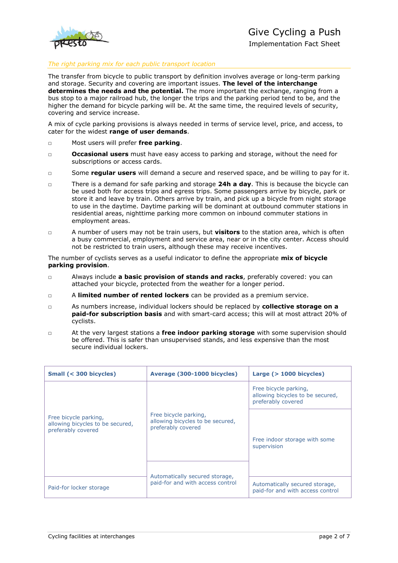

Implementation Fact Sheet

#### *The right parking mix for each public transport location*

The transfer from bicycle to public transport by definition involves average or long-term parking and storage. Security and covering are important issues. **The level of the interchange determines the needs and the potential.** The more important the exchange, ranging from a bus stop to a major railroad hub, the longer the trips and the parking period tend to be, and the higher the demand for bicycle parking will be. At the same time, the required levels of security, covering and service increase.

A mix of cycle parking provisions is always needed in terms of service level, price, and access, to cater for the widest **range of user demands**.

- □ Most users will prefer **free parking**.
- □ **Occasional users** must have easy access to parking and storage, without the need for subscriptions or access cards.
- □ Some **regular users** will demand a secure and reserved space, and be willing to pay for it.
- □ There is a demand for safe parking and storage **24h a day**. This is because the bicycle can be used both for access trips and egress trips. Some passengers arrive by bicycle, park or store it and leave by train. Others arrive by train, and pick up a bicycle from night storage to use in the daytime. Daytime parking will be dominant at outbound commuter stations in residential areas, nighttime parking more common on inbound commuter stations in employment areas.
- □ A number of users may not be train users, but **visitors** to the station area, which is often a busy commercial, employment and service area, near or in the city center. Access should not be restricted to train users, although these may receive incentives.

The number of cyclists serves as a useful indicator to define the appropriate **mix of bicycle parking provision**.

- □ Always include **a basic provision of stands and racks**, preferably covered: you can attached your bicycle, protected from the weather for a longer period.
- □ A **limited number of rented lockers** can be provided as a premium service.
- □ As numbers increase, individual lockers should be replaced by **collective storage on a paid-for subscription basis** and with smart-card access; this will at most attract 20% of cyclists.
- □ At the very largest stations a **free indoor parking storage** with some supervision should be offered. This is safer than unsupervised stands, and less expensive than the most secure individual lockers.

| Small (< 300 bicycles)                                                          | Average (300-1000 bicycles)                                                                                                                           | Large $($ > 1000 bicycles)                                                      |
|---------------------------------------------------------------------------------|-------------------------------------------------------------------------------------------------------------------------------------------------------|---------------------------------------------------------------------------------|
| Free bicycle parking,<br>allowing bicycles to be secured,<br>preferably covered | Free bicycle parking,<br>allowing bicycles to be secured,<br>preferably covered<br>Automatically secured storage,<br>paid-for and with access control | Free bicycle parking,<br>allowing bicycles to be secured,<br>preferably covered |
|                                                                                 |                                                                                                                                                       | Free indoor storage with some<br>supervision                                    |
|                                                                                 |                                                                                                                                                       |                                                                                 |
| Paid-for locker storage                                                         |                                                                                                                                                       | Automatically secured storage,<br>paid-for and with access control              |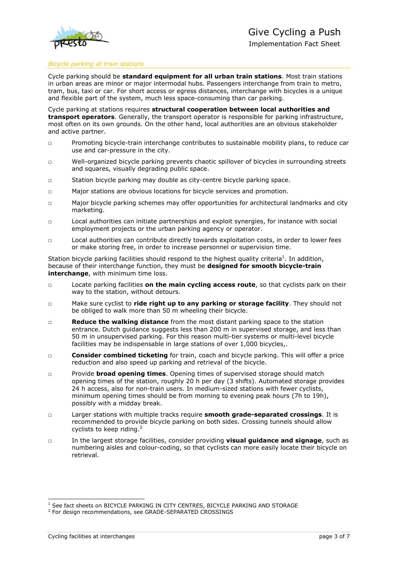

#### *Bicycle parking at train stations*

Cycle parking should be **standard equipment for all urban train stations**. Most train stations in urban areas are minor or major intermodal hubs. Passengers interchange from train to metro, tram, bus, taxi or car. For short access or egress distances, interchange with bicycles is a unique and flexible part of the system, much less space-consuming than car parking.

Cycle parking at stations requires **structural cooperation between local authorities and transport operators**. Generally, the transport operator is responsible for parking infrastructure, most often on its own grounds. On the other hand, local authorities are an obvious stakeholder and active partner.

- □ Promoting bicycle-train interchange contributes to sustainable mobility plans, to reduce car use and car-pressure in the city.
- □ Well-organized bicycle parking prevents chaotic spillover of bicycles in surrounding streets and squares, visually degrading public space.
- □ Station bicycle parking may double as city-centre bicycle parking space.
- □ Major stations are obvious locations for bicycle services and promotion.
- □ Major bicycle parking schemes may offer opportunities for architectural landmarks and city marketing.
- □ Local authorities can initiate partnerships and exploit synergies, for instance with social employment projects or the urban parking agency or operator.
- □ Local authorities can contribute directly towards exploitation costs, in order to lower fees or make storing free, in order to increase personnel or supervision time.

Station bicycle parking facilities should respond to the highest quality criteria<sup>1</sup>. In addition, because of their interchange function, they must be **designed for smooth bicycle-train interchange**, with minimum time loss.

- □ Locate parking facilities **on the main cycling access route**, so that cyclists park on their way to the station, without detours.
- □ Make sure cyclist to **ride right up to any parking or storage facility**. They should not be obliged to walk more than 50 m wheeling their bicycle.
- □ **Reduce the walking distance** from the most distant parking space to the station entrance. Dutch guidance suggests less than 200 m in supervised storage, and less than 50 m in unsupervised parking. For this reason multi-tier systems or multi-level bicycle facilities may be indispensable in large stations of over 1,000 bicycles,.
- □ **Consider combined ticketing** for train, coach and bicycle parking. This will offer a price reduction and also speed up parking and retrieval of the bicycle.
- □ Provide **broad opening times**. Opening times of supervised storage should match opening times of the station, roughly 20 h per day (3 shifts). Automated storage provides 24 h access, also for non-train users. In medium-sized stations with fewer cyclists, minimum opening times should be from morning to evening peak hours (7h to 19h), possibly with a midday break.
- □ Larger stations with multiple tracks require **smooth grade-separated crossings**. It is recommended to provide bicycle parking on both sides. Crossing tunnels should allow cyclists to keep riding.<sup>2</sup>
- □ In the largest storage facilities, consider providing **visual guidance and signage**, such as numbering aisles and colour-coding, so that cyclists can more easily locate their bicycle on retrieval.

-

<sup>&</sup>lt;sup>1</sup> See fact sheets on BICYCLE PARKING IN CITY CENTRES, BICYCLE PARKING AND STORAGE

<sup>&</sup>lt;sup>2</sup> For design recommendations, see GRADE-SEPARATED CROSSINGS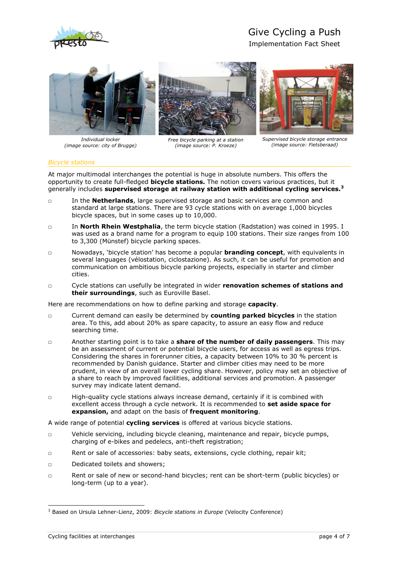

## Give Cycling a Push

Implementation Fact Sheet



*Individual locker (image source: city of Brugge)*



*Free bicycle parking at a station (image source: P. Kroeze)*



*Supervised bicycle storage entrance (image source: Fietsberaad)*

#### *Bicycle stations*

At major multimodal interchanges the potential is huge in absolute numbers. This offers the opportunity to create full-fledged **bicycle stations.** The notion covers various practices, but it generally includes **supervised storage at railway station with additional cycling services.<sup>3</sup>**

- □ In the **Netherlands**, large supervised storage and basic services are common and standard at large stations. There are 93 cycle stations with on average 1,000 bicycles bicycle spaces, but in some cases up to 10,000.
- □ In **North Rhein Westphalia**, the term bicycle station (Radstation) was coined in 1995. I was used as a brand name for a program to equip 100 stations. Their size ranges from 100 to 3,300 (Münstef) bicycle parking spaces.
- □ Nowadays, 'bicycle station' has become a popular **branding concept**, with equivalents in several languages (vélostation, ciclostazione). As such, it can be useful for promotion and communication on ambitious bicycle parking projects, especially in starter and climber cities.
- □ Cycle stations can usefully be integrated in wider **renovation schemes of stations and their surroundings**, such as Euroville Basel.

Here are recommendations on how to define parking and storage **capacity**.

- □ Current demand can easily be determined by **counting parked bicycles** in the station area. To this, add about 20% as spare capacity, to assure an easy flow and reduce searching time.
- □ Another starting point is to take a **share of the number of daily passengers**. This may be an assessment of current or potential bicycle users, for access as well as egress trips. Considering the shares in forerunner cities, a capacity between 10% to 30 % percent is recommended by Danish guidance. Starter and climber cities may need to be more prudent, in view of an overall lower cycling share. However, policy may set an objective of a share to reach by improved facilities, additional services and promotion. A passenger survey may indicate latent demand.
- □ High-quality cycle stations always increase demand, certainly if it is combined with excellent access through a cycle network. It is recommended to **set aside space for expansion,** and adapt on the basis of **frequent monitoring**.

A wide range of potential **cycling services** is offered at various bicycle stations.

- □ Vehicle servicing, including bicycle cleaning, maintenance and repair, bicycle pumps, charging of e-bikes and pedelecs, anti-theft registration;
- □ Rent or sale of accessories: baby seats, extensions, cycle clothing, repair kit;
- □ Dedicated toilets and showers;
- □ Rent or sale of new or second-hand bicycles; rent can be short-term (public bicycles) or long-term (up to a year).

-

<sup>3</sup> Based on Ursula Lehner-Lienz, 2009: *Bicycle stations in Europe* (Velocity Conference)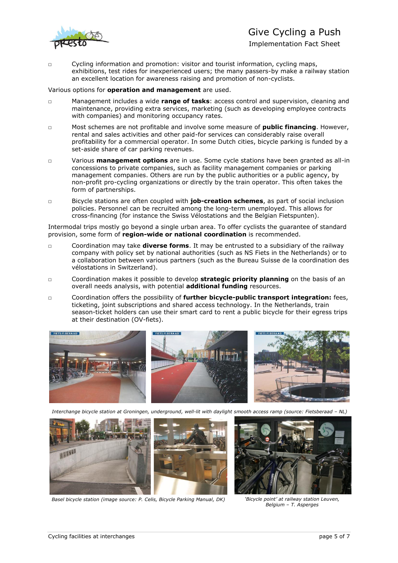

### Give Cycling a Push

Implementation Fact Sheet

□ Cycling information and promotion: visitor and tourist information, cycling maps, exhibitions, test rides for inexperienced users; the many passers-by make a railway station an excellent location for awareness raising and promotion of non-cyclists.

#### Various options for **operation and management** are used.

- □ Management includes a wide **range of tasks**: access control and supervision, cleaning and maintenance, providing extra services, marketing (such as developing employee contracts with companies) and monitoring occupancy rates.
- □ Most schemes are not profitable and involve some measure of **public financing**. However, rental and sales activities and other paid-for services can considerably raise overall profitability for a commercial operator. In some Dutch cities, bicycle parking is funded by a set-aside share of car parking revenues.
- □ Various **management options** are in use. Some cycle stations have been granted as all-in concessions to private companies, such as facility management companies or parking management companies. Others are run by the public authorities or a public agency, by non-profit pro-cycling organizations or directly by the train operator. This often takes the form of partnerships.
- □ Bicycle stations are often coupled with **job-creation schemes**, as part of social inclusion policies. Personnel can be recruited among the long-term unemployed. This allows for cross-financing (for instance the Swiss Vélostations and the Belgian Fietspunten).

Intermodal trips mostly go beyond a single urban area. To offer cyclists the guarantee of standard provision, some form of **region-wide or national coordination** is recommended.

- □ Coordination may take **diverse forms**. It may be entrusted to a subsidiary of the railway company with policy set by national authorities (such as NS Fiets in the Netherlands) or to a collaboration between various partners (such as the Bureau Suisse de la coordination des vélostations in Switzerland).
- □ Coordination makes it possible to develop **strategic priority planning** on the basis of an overall needs analysis, with potential **additional funding** resources.
- □ Coordination offers the possibility of **further bicycle-public transport integration:** fees, ticketing, joint subscriptions and shared access technology. In the Netherlands, train season-ticket holders can use their smart card to rent a public bicycle for their egress trips at their destination (OV-fiets).



*Interchange bicycle station at Groningen, underground, well-lit with daylight smooth access ramp (source: Fietsberaad – NL)*



*Basel bicycle station (image source: P. Celis, Bicycle Parking Manual, DK) 'Bicycle point' at railway station Leuven,* 

*Belgium – T. Asperges*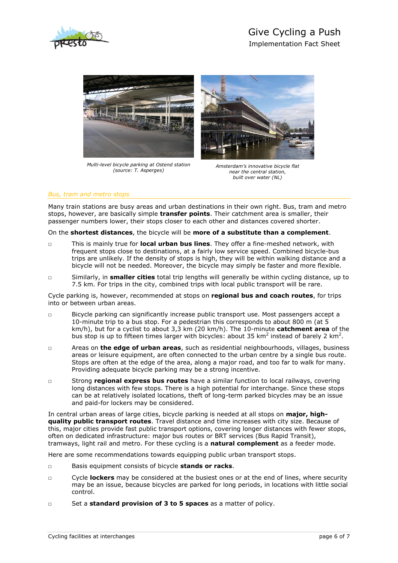



*Multi-level bicycle parking at Ostend station (source: T. Asperges)*



*Amsterdam's innovative bicycle flat near the central station, built over water (NL)*

#### *Bus, tram and metro stops*

Many train stations are busy areas and urban destinations in their own right. Bus, tram and metro stops, however, are basically simple **transfer points**. Their catchment area is smaller, their passenger numbers lower, their stops closer to each other and distances covered shorter.

On the **shortest distances**, the bicycle will be **more of a substitute than a complement**.

- □ This is mainly true for **local urban bus lines**. They offer a fine-meshed network, with frequent stops close to destinations, at a fairly low service speed. Combined bicycle-bus trips are unlikely. If the density of stops is high, they will be within walking distance and a bicycle will not be needed. Moreover, the bicycle may simply be faster and more flexible.
- □ Similarly, in **smaller cities** total trip lengths will generally be within cycling distance, up to 7.5 km. For trips in the city, combined trips with local public transport will be rare.

Cycle parking is, however, recommended at stops on **regional bus and coach routes**, for trips into or between urban areas.

- □ Bicycle parking can significantly increase public transport use. Most passengers accept a 10-minute trip to a bus stop. For a pedestrian this corresponds to about 800 m (at 5 km/h), but for a cyclist to about 3,3 km (20 km/h). The 10-minute **catchment area** of the bus stop is up to fifteen times larger with bicycles: about 35 km<sup>2</sup> instead of barely 2 km<sup>2</sup>.
- □ Areas on **the edge of urban areas**, such as residential neighbourhoods, villages, business areas or leisure equipment, are often connected to the urban centre by a single bus route. Stops are often at the edge of the area, along a major road, and too far to walk for many. Providing adequate bicycle parking may be a strong incentive.
- □ Strong **regional express bus routes** have a similar function to local railways, covering long distances with few stops. There is a high potential for interchange. Since these stops can be at relatively isolated locations, theft of long-term parked bicycles may be an issue and paid-for lockers may be considered.

In central urban areas of large cities, bicycle parking is needed at all stops on **major, highquality public transport routes**. Travel distance and time increases with city size. Because of this, major cities provide fast public transport options, covering longer distances with fewer stops, often on dedicated infrastructure: major bus routes or BRT services (Bus Rapid Transit), tramways, light rail and metro. For these cycling is a **natural complement** as a feeder mode.

Here are some recommendations towards equipping public urban transport stops.

- □ Basis equipment consists of bicycle **stands or racks**.
- □ Cycle **lockers** may be considered at the busiest ones or at the end of lines, where security may be an issue, because bicycles are parked for long periods, in locations with little social control.
- □ Set a **standard provision of 3 to 5 spaces** as a matter of policy.